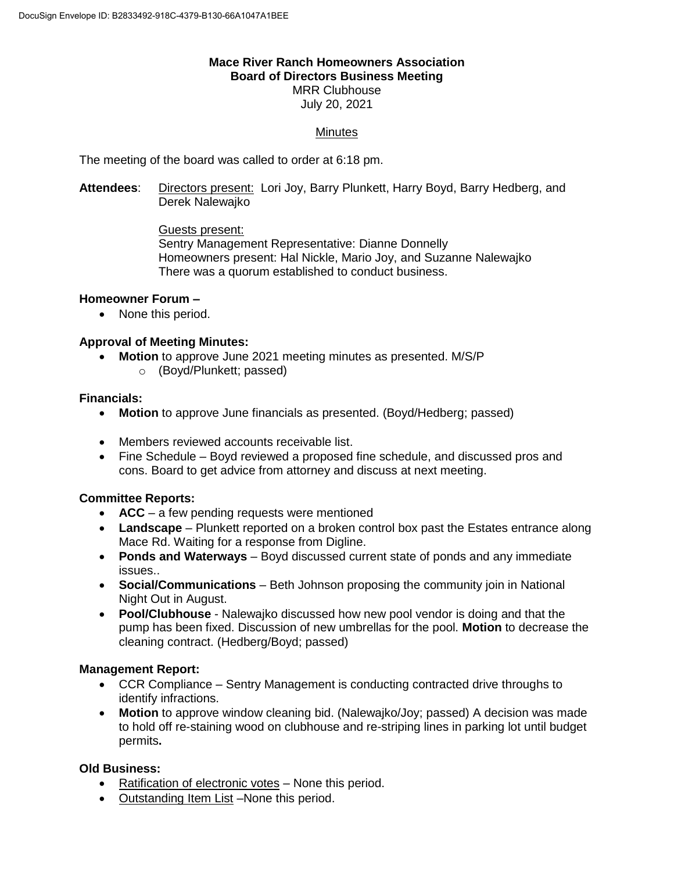#### **Mace River Ranch Homeowners Association Board of Directors Business Meeting** MRR Clubhouse

July 20, 2021

# **Minutes**

The meeting of the board was called to order at 6:18 pm.

**Attendees**: Directors present: Lori Joy, Barry Plunkett, Harry Boyd, Barry Hedberg, and Derek Nalewajko

> Guests present: Sentry Management Representative: Dianne Donnelly Homeowners present: Hal Nickle, Mario Joy, and Suzanne Nalewajko There was a quorum established to conduct business.

#### **Homeowner Forum –**

• None this period.

### **Approval of Meeting Minutes:**

- **Motion** to approve June 2021 meeting minutes as presented. M/S/P
	- o (Boyd/Plunkett; passed)

#### **Financials:**

- **Motion** to approve June financials as presented. (Boyd/Hedberg; passed)
- Members reviewed accounts receivable list.
- Fine Schedule Boyd reviewed a proposed fine schedule, and discussed pros and cons. Board to get advice from attorney and discuss at next meeting.

#### **Committee Reports:**

- **ACC** a few pending requests were mentioned
- **Landscape** Plunkett reported on a broken control box past the Estates entrance along Mace Rd. Waiting for a response from Digline.
- **Ponds and Waterways** Boyd discussed current state of ponds and any immediate issues..
- **Social/Communications**  Beth Johnson proposing the community join in National Night Out in August.
- **Pool/Clubhouse** Nalewajko discussed how new pool vendor is doing and that the pump has been fixed. Discussion of new umbrellas for the pool. **Motion** to decrease the cleaning contract. (Hedberg/Boyd; passed)

#### **Management Report:**

- CCR Compliance Sentry Management is conducting contracted drive throughs to identify infractions.
- **Motion** to approve window cleaning bid. (Nalewajko/Joy; passed) A decision was made to hold off re-staining wood on clubhouse and re-striping lines in parking lot until budget permits**.**

## **Old Business:**

- Ratification of electronic votes None this period.
- Outstanding Item List –None this period.